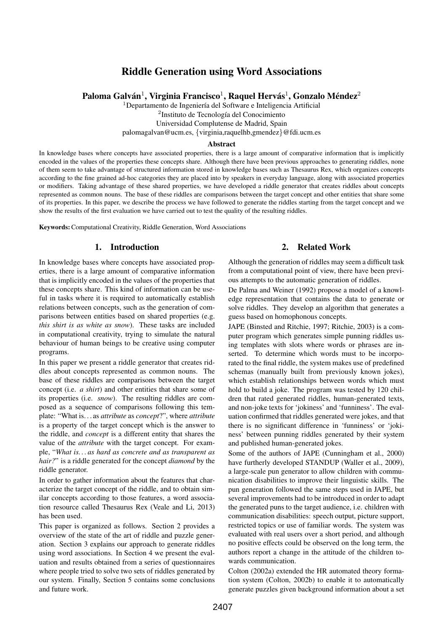# Riddle Generation using Word Associations

Paloma Galván $^1$ , Virginia Francisco $^1$ , Raquel Hervás $^1$ , Gonzalo Méndez $^2$ 

 $1$ Departamento de Ingeniería del Software e Inteligencia Artificial

<sup>2</sup>Instituto de Tecnología del Conocimiento

Universidad Complutense de Madrid, Spain

palomagalvan@ucm.es, {virginia,raquelhb,gmendez}@fdi.ucm.es

#### Abstract

In knowledge bases where concepts have associated properties, there is a large amount of comparative information that is implicitly encoded in the values of the properties these concepts share. Although there have been previous approaches to generating riddles, none of them seem to take advantage of structured information stored in knowledge bases such as Thesaurus Rex, which organizes concepts according to the fine grained ad-hoc categories they are placed into by speakers in everyday language, along with associated properties or modifiers. Taking advantage of these shared properties, we have developed a riddle generator that creates riddles about concepts represented as common nouns. The base of these riddles are comparisons between the target concept and other entities that share some of its properties. In this paper, we describe the process we have followed to generate the riddles starting from the target concept and we show the results of the first evaluation we have carried out to test the quality of the resulting riddles.

Keywords:Computational Creativity, Riddle Generation, Word Associations

#### 1. Introduction

In knowledge bases where concepts have associated properties, there is a large amount of comparative information that is implicitly encoded in the values of the properties that these concepts share. This kind of information can be useful in tasks where it is required to automatically establish relations between concepts, such as the generation of comparisons between entities based on shared properties (e.g. *this shirt is as white as snow*). These tasks are included in computational creativity, trying to simulate the natural behaviour of human beings to be creative using computer programs.

In this paper we present a riddle generator that creates riddles about concepts represented as common nouns. The base of these riddles are comparisons between the target concept (i.e. *a shirt*) and other entities that share some of its properties (i.e. *snow*). The resulting riddles are composed as a sequence of comparisons following this template: "What is. . . as *attribute* as *concept*?", where *attribute* is a property of the target concept which is the answer to the riddle, and *concept* is a different entity that shares the value of the *attribute* with the target concept. For example, "*What is. . . as hard as concrete and as transparent as hair?*" is a riddle generated for the concept *diamond* by the riddle generator.

In order to gather information about the features that characterize the target concept of the riddle, and to obtain similar concepts according to those features, a word association resource called Thesaurus Rex (Veale and Li, 2013) has been used.

This paper is organized as follows. Section 2 provides a overview of the state of the art of riddle and puzzle generation. Section 3 explains our approach to generate riddles using word associations. In Section 4 we present the evaluation and results obtained from a series of questionnaires where people tried to solve two sets of riddles generated by our system. Finally, Section 5 contains some conclusions and future work.

## 2. Related Work

Although the generation of riddles may seem a difficult task from a computational point of view, there have been previous attempts to the automatic generation of riddles.

De Palma and Weiner (1992) propose a model of a knowledge representation that contains the data to generate or solve riddles. They develop an algorithm that generates a guess based on homophonous concepts.

JAPE (Binsted and Ritchie, 1997; Ritchie, 2003) is a computer program which generates simple punning riddles using templates with slots where words or phrases are inserted. To determine which words must to be incorporated to the final riddle, the system makes use of predefined schemas (manually built from previously known jokes), which establish relationships between words which must hold to build a joke. The program was tested by 120 children that rated generated riddles, human-generated texts, and non-joke texts for 'jokiness' and 'funniness'. The evaluation confirmed that riddles generated were jokes, and that there is no significant difference in 'funniness' or 'jokiness' between punning riddles generated by their system and published human-generated jokes.

Some of the authors of JAPE (Cunningham et al., 2000) have furtherly developed STANDUP (Waller et al., 2009), a large-scale pun generator to allow children with communication disabilities to improve their linguistic skills. The pun generation followed the same steps used in JAPE, but several improvements had to be introduced in order to adapt the generated puns to the target audience, i.e. children with communication disabilities: speech output, picture support, restricted topics or use of familiar words. The system was evaluated with real users over a short period, and although no positive effects could be observed on the long term, the authors report a change in the attitude of the children towards communication.

Colton (2002a) extended the HR automated theory formation system (Colton, 2002b) to enable it to automatically generate puzzles given background information about a set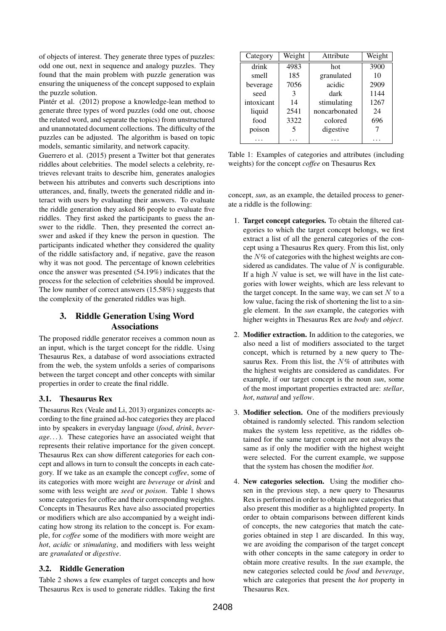of objects of interest. They generate three types of puzzles: odd one out, next in sequence and analogy puzzles. They found that the main problem with puzzle generation was ensuring the uniqueness of the concept supposed to explain the puzzle solution.

Pintér et al. (2012) propose a knowledge-lean method to generate three types of word puzzles (odd one out, choose the related word, and separate the topics) from unstructured and unannotated document collections. The difficulty of the puzzles can be adjusted. The algorithm is based on topic models, semantic similarity, and network capacity.

Guerrero et al. (2015) present a Twitter bot that generates riddles about celebrities. The model selects a celebrity, retrieves relevant traits to describe him, generates analogies between his attributes and converts such descriptions into utterances, and, finally, tweets the generated riddle and interact with users by evaluating their answers. To evaluate the riddle generation they asked 86 people to evaluate five riddles. They first asked the participants to guess the answer to the riddle. Then, they presented the correct answer and asked if they knew the person in question. The participants indicated whether they considered the quality of the riddle satisfactory and, if negative, gave the reason why it was not good. The percentage of known celebrities once the answer was presented (54.19%) indicates that the process for the selection of celebrities should be improved. The low number of correct answers (15.58%) suggests that the complexity of the generated riddles was high.

# 3. Riddle Generation Using Word Associations

The proposed riddle generator receives a common noun as an input, which is the target concept for the riddle. Using Thesaurus Rex, a database of word associations extracted from the web, the system unfolds a series of comparisons between the target concept and other concepts with similar properties in order to create the final riddle.

# 3.1. Thesaurus Rex

Thesaurus Rex (Veale and Li, 2013) organizes concepts according to the fine grained ad-hoc categories they are placed into by speakers in everyday language (*food*, *drink*, *beverage*. . . ). These categories have an associated weight that represents their relative importance for the given concept. Thesaurus Rex can show different categories for each concept and allows in turn to consult the concepts in each category. If we take as an example the concept *coffee*, some of its categories with more weight are *beverage* or *drink* and some with less weight are *seed* or *poison*. Table 1 shows some categories for coffee and their corresponding weights. Concepts in Thesaurus Rex have also associated properties or modifiers which are also accompanied by a weight indicating how strong its relation to the concept is. For example, for *coffee* some of the modifiers with more weight are *hot*, *acidic* or *stimulating*, and modifiers with less weight are *granulated* or *digestive*.

# 3.2. Riddle Generation

Table 2 shows a few examples of target concepts and how Thesaurus Rex is used to generate riddles. Taking the first

| Category   | Weight | Attribute     | Weight |
|------------|--------|---------------|--------|
| drink      | 4983   | hot           | 3900   |
| smell      | 185    | granulated    | 10     |
| beverage   | 7056   | acidic        | 2909   |
| seed       | 3      | dark          | 1144   |
| intoxicant | 14     | stimulating   | 1267   |
| liquid     | 2541   | noncarbonated | 24     |
| food       | 3322   | colored       | 696    |
| poison     |        | digestive     |        |
|            |        |               |        |

Table 1: Examples of categories and attributes (including weights) for the concept *coffee* on Thesaurus Rex

concept, *sun*, as an example, the detailed process to generate a riddle is the following:

- 1. Target concept categories. To obtain the filtered categories to which the target concept belongs, we first extract a list of all the general categories of the concept using a Thesaurus Rex query. From this list, only the  $N\%$  of categories with the highest weights are considered as candidates. The value of  $N$  is configurable. If a high  $N$  value is set, we will have in the list categories with lower weights, which are less relevant to the target concept. In the same way, we can set  $N$  to a low value, facing the risk of shortening the list to a single element. In the *sun* example, the categories with higher weights in Thesaurus Rex are *body* and *object*.
- 2. Modifier extraction. In addition to the categories, we also need a list of modifiers associated to the target concept, which is returned by a new query to Thesaurus Rex. From this list, the  $N\%$  of attributes with the highest weights are considered as candidates. For example, if our target concept is the noun *sun*, some of the most important properties extracted are: *stellar*, *hot*, *natural* and *yellow*.
- 3. Modifier selection. One of the modifiers previously obtained is randomly selected. This random selection makes the system less repetitive, as the riddles obtained for the same target concept are not always the same as if only the modifier with the highest weight were selected. For the current example, we suppose that the system has chosen the modifier *hot*.
- 4. New categories selection. Using the modifier chosen in the previous step, a new query to Thesaurus Rex is performed in order to obtain new categories that also present this modifier as a highlighted property. In order to obtain comparisons between different kinds of concepts, the new categories that match the categories obtained in step 1 are discarded. In this way, we are avoiding the comparison of the target concept with other concepts in the same category in order to obtain more creative results. In the *sun* example, the new categories selected could be *food* and *beverage*, which are categories that present the *hot* property in Thesaurus Rex.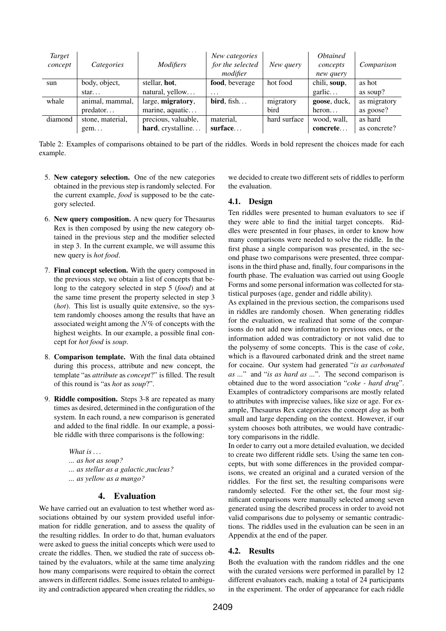| Target<br>concept | Categories       | <i>Modifiers</i>    | New categories<br>for the selected | New query    | <i><b>Obtained</b></i><br>concepts | Comparison   |
|-------------------|------------------|---------------------|------------------------------------|--------------|------------------------------------|--------------|
|                   |                  |                     | modifier                           |              | new query                          |              |
| sun               | body, object,    | stellar, hot,       | food, beverage                     | hot food     | chili, soup,                       | as hot       |
|                   | star             | natural, yellow     | $\cdots$                           |              | garlic                             | as soup?     |
| whale             | animal, mammal,  | large, migratory,   | bird, fish                         | migratory    | goose, duck,                       | as migratory |
|                   | predator         | marine, aquatic     |                                    | bird         | heron                              | as goose?    |
| diamond           | stone, material, | precious, valuable, | material,                          | hard surface | wood, wall,                        | as hard      |
|                   | $g$ em           | hard, crystalline   | surface                            |              | concrete                           | as concrete? |

Table 2: Examples of comparisons obtained to be part of the riddles. Words in bold represent the choices made for each example.

- 5. New category selection. One of the new categories obtained in the previous step is randomly selected. For the current example, *food* is supposed to be the category selected.
- 6. New query composition. A new query for Thesaurus Rex is then composed by using the new category obtained in the previous step and the modifier selected in step 3. In the current example, we will assume this new query is *hot food*.
- 7. Final concept selection. With the query composed in the previous step, we obtain a list of concepts that belong to the category selected in step 5 (*food*) and at the same time present the property selected in step 3 (*hot*). This list is usually quite extensive, so the system randomly chooses among the results that have an associated weight among the  $N\%$  of concepts with the highest weights. In our example, a possible final concept for *hot food* is *soup*.
- 8. Comparison template. With the final data obtained during this process, attribute and new concept, the template "as *attribute* as *concept*?" is filled. The result of this round is "as *hot* as *soup*?".
- 9. Riddle composition. Steps 3-8 are repeated as many times as desired, determined in the configuration of the system. In each round, a new comparison is generated and added to the final riddle. In our example, a possible riddle with three comparisons is the following:

*What is . . . ... as hot as soup? ... as stellar as a galactic nucleus? ... as yellow as a mango?*

#### 4. Evaluation

We have carried out an evaluation to test whether word associations obtained by our system provided useful information for riddle generation, and to assess the quality of the resulting riddles. In order to do that, human evaluators were asked to guess the initial concepts which were used to create the riddles. Then, we studied the rate of success obtained by the evaluators, while at the same time analyzing how many comparisons were required to obtain the correct answers in different riddles. Some issues related to ambiguity and contradiction appeared when creating the riddles, so

we decided to create two different sets of riddles to perform the evaluation.

## 4.1. Design

Ten riddles were presented to human evaluators to see if they were able to find the initial target concepts. Riddles were presented in four phases, in order to know how many comparisons were needed to solve the riddle. In the first phase a single comparison was presented, in the second phase two comparisons were presented, three comparisons in the third phase and, finally, four comparisons in the fourth phase. The evaluation was carried out using Google Forms and some personal information was collected for statistical purposes (age, gender and riddle ability).

As explained in the previous section, the comparisons used in riddles are randomly chosen. When generating riddles for the evaluation, we realized that some of the comparisons do not add new information to previous ones, or the information added was contradictory or not valid due to the polysemy of some concepts. This is the case of *coke*, which is a flavoured carbonated drink and the street name for cocaine. Our system had generated "*is as carbonated as ...*" and "*is as hard as ...*". The second comparison is obtained due to the word association "*coke - hard drug*". Examples of contradictory comparisons are mostly related to attributes with imprecise values, like size or age. For example, Thesaurus Rex categorizes the concept *dog* as both small and large depending on the context. However, if our system chooses both attributes, we would have contradictory comparisons in the riddle.

In order to carry out a more detailed evaluation, we decided to create two different riddle sets. Using the same ten concepts, but with some differences in the provided comparisons, we created an original and a curated version of the riddles. For the first set, the resulting comparisons were randomly selected. For the other set, the four most significant comparisons were manually selected among seven generated using the described process in order to avoid not valid comparisons due to polysemy or semantic contradictions. The riddles used in the evaluation can be seen in an Appendix at the end of the paper.

## 4.2. Results

Both the evaluation with the random riddles and the one with the curated versions were performed in parallel by 12 different evaluators each, making a total of 24 participants in the experiment. The order of appearance for each riddle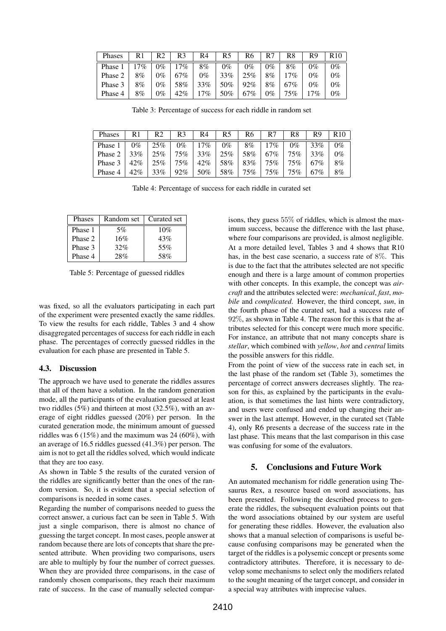| Phases  | R <sup>1</sup> | R2    | R <sub>3</sub> | R4    | R5  | R6  | R7 | R8  | R9         | R10   |
|---------|----------------|-------|----------------|-------|-----|-----|----|-----|------------|-------|
| Phase 1 | $7\%$          | 9%    | $7\%$          | 8%    | 0%  | 9%  | 0% | 8%  | 0%         | $0\%$ |
| Phase 2 | 8%             | 9%    | 67%            | $0\%$ | 33% | 25% | 8% | 7%  | $\gamma$ % | 0%    |
| Phase 3 | 8%             | 9%    | 58%            | 33%   | 50% | 92% | 8% | 67% | 9%         | 0%    |
| Phase 4 | 8%             | $0\%$ | 42%            | 7%    | 50% | 67% | 0% | 75% | $7\%$      | 0%    |

Table 3: Percentage of success for each riddle in random set

| Phases  | R1    | R2  | R3  | R4  | R5  | R6     | R7  | R8  | R9  | D     |
|---------|-------|-----|-----|-----|-----|--------|-----|-----|-----|-------|
| Phase 1 | $0\%$ | 25% | 0%  | 7%  | 0%  | 8%     | 7%  | 0%  | 33% | $0\%$ |
| Phase 2 | 33%   | 25% | 75% | 33% | 25% | 58%    | 67% | 75% | 33% | $0\%$ |
| Phase 3 | 42%   | 25% | 75% | 42% | 58% | 83%    | 75% | 75% | 67% | 8%    |
| Phase 4 | 42%   | 33% | 92% | 50% | 58% | $75\%$ | 75% | 75% | 67% | 8%    |

Table 4: Percentage of success for each riddle in curated set

| <b>Phases</b> | Random set | Curated set |
|---------------|------------|-------------|
| Phase 1       | 5%         | 10%         |
| Phase 2       | 16%        | 43%         |
| Phase 3       | 32%        | 55%         |
| Phase 4       | 28%        | 58%         |

Table 5: Percentage of guessed riddles

was fixed, so all the evaluators participating in each part of the experiment were presented exactly the same riddles. To view the results for each riddle, Tables 3 and 4 show disaggregated percentages of success for each riddle in each phase. The percentages of correctly guessed riddles in the evaluation for each phase are presented in Table 5.

#### 4.3. Discussion

The approach we have used to generate the riddles assures that all of them have a solution. In the random generation mode, all the participants of the evaluation guessed at least two riddles (5%) and thirteen at most (32.5%), with an average of eight riddles guessed (20%) per person. In the curated generation mode, the minimum amount of guessed riddles was 6 (15%) and the maximum was 24 (60%), with an average of 16.5 riddles guessed (41.3%) per person. The aim is not to get all the riddles solved, which would indicate that they are too easy.

As shown in Table 5 the results of the curated version of the riddles are significantly better than the ones of the random version. So, it is evident that a special selection of comparisons is needed in some cases.

Regarding the number of comparisons needed to guess the correct answer, a curious fact can be seen in Table 5. With just a single comparison, there is almost no chance of guessing the target concept. In most cases, people answer at random because there are lots of concepts that share the presented attribute. When providing two comparisons, users are able to multiply by four the number of correct guesses. When they are provided three comparisons, in the case of randomly chosen comparisons, they reach their maximum rate of success. In the case of manually selected comparisons, they guess 55% of riddles, which is almost the maximum success, because the difference with the last phase, where four comparisons are provided, is almost negligible. At a more detailed level, Tables 3 and 4 shows that R10 has, in the best case scenario, a success rate of 8%. This is due to the fact that the attributes selected are not specific enough and there is a large amount of common properties with other concepts. In this example, the concept was *aircraft* and the attributes selected were: *mechanical*, *fast*, *mobile* and *complicated*. However, the third concept, *sun*, in the fourth phase of the curated set, had a success rate of 92%, as shown in Table 4. The reason for this is that the attributes selected for this concept were much more specific. For instance, an attribute that not many concepts share is *stellar*, which combined with *yellow*, *hot* and *central* limits the possible answers for this riddle.

From the point of view of the success rate in each set, in the last phase of the random set (Table 3), sometimes the percentage of correct answers decreases slightly. The reason for this, as explained by the participants in the evaluation, is that sometimes the last hints were contradictory, and users were confused and ended up changing their answer in the last attempt. However, in the curated set (Table 4), only R6 presents a decrease of the success rate in the last phase. This means that the last comparison in this case was confusing for some of the evaluators.

## 5. Conclusions and Future Work

An automated mechanism for riddle generation using Thesaurus Rex, a resource based on word associations, has been presented. Following the described process to generate the riddles, the subsequent evaluation points out that the word associations obtained by our system are useful for generating these riddles. However, the evaluation also shows that a manual selection of comparisons is useful because confusing comparisons may be generated when the target of the riddles is a polysemic concept or presents some contradictory attributes. Therefore, it is necessary to develop some mechanisms to select only the modifiers related to the sought meaning of the target concept, and consider in a special way attributes with imprecise values.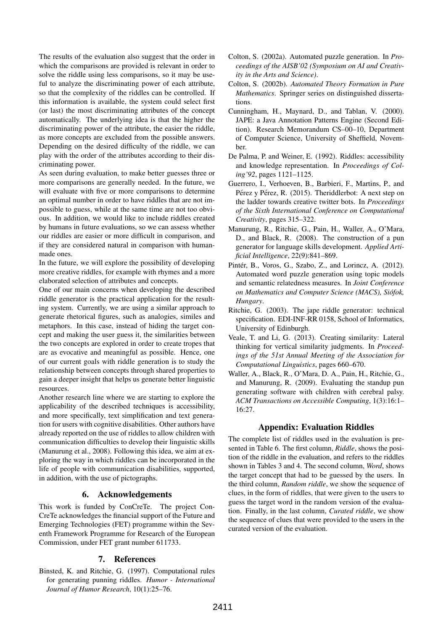The results of the evaluation also suggest that the order in which the comparisons are provided is relevant in order to solve the riddle using less comparisons, so it may be useful to analyze the discriminating power of each attribute, so that the complexity of the riddles can be controlled. If this information is available, the system could select first (or last) the most discriminating attributes of the concept automatically. The underlying idea is that the higher the discriminating power of the attribute, the easier the riddle, as more concepts are excluded from the possible answers. Depending on the desired difficulty of the riddle, we can play with the order of the attributes according to their discriminating power.

As seen during evaluation, to make better guesses three or more comparisons are generally needed. In the future, we will evaluate with five or more comparisons to determine an optimal number in order to have riddles that are not impossible to guess, while at the same time are not too obvious. In addition, we would like to include riddles created by humans in future evaluations, so we can assess whether our riddles are easier or more difficult in comparison, and if they are considered natural in comparison with humanmade ones.

In the future, we will explore the possibility of developing more creative riddles, for example with rhymes and a more elaborated selection of attributes and concepts.

One of our main concerns when developing the described riddle generator is the practical application for the resulting system. Currently, we are using a similar approach to generate rhetorical figures, such as analogies, similes and metaphors. In this case, instead of hiding the target concept and making the user guess it, the similarities between the two concepts are explored in order to create tropes that are as evocative and meaningful as possible. Hence, one of our current goals with riddle generation is to study the relationship between concepts through shared properties to gain a deeper insight that helps us generate better linguistic resources.

Another research line where we are starting to explore the applicability of the described techniques is accessibility, and more specifically, text simplification and text generation for users with cognitive disabilities. Other authors have already reported on the use of riddles to allow children with communication difficulties to develop their linguistic skills (Manurung et al., 2008). Following this idea, we aim at exploring the way in which riddles can be incorporated in the life of people with communication disabilities, supported, in addition, with the use of pictographs.

## 6. Acknowledgements

This work is funded by ConCreTe. The project Con-CreTe acknowledges the financial support of the Future and Emerging Technologies (FET) programme within the Seventh Framework Programme for Research of the European Commission, under FET grant number 611733.

## 7. References

Binsted, K. and Ritchie, G. (1997). Computational rules for generating punning riddles. *Humor - International Journal of Humor Research*, 10(1):25–76.

- Colton, S. (2002a). Automated puzzle generation. In *Proceedings of the AISB'02 (Symposium on AI and Creativity in the Arts and Science)*.
- Colton, S. (2002b). *Automated Theory Formation in Pure Mathematics*. Springer series on distinguished dissertations.
- Cunningham, H., Maynard, D., and Tablan, V. (2000). JAPE: a Java Annotation Patterns Engine (Second Edition). Research Memorandum CS–00–10, Department of Computer Science, University of Sheffield, November.
- De Palma, P. and Weiner, E. (1992). Riddles: accessibility and knowledge representation. In *Proceedings of Coling'92*, pages 1121–1125.
- Guerrero, I., Verhoeven, B., Barbieri, F., Martins, P., and Pérez y Pérez, R. (2015). Theriddlerbot: A next step on the ladder towards creative twitter bots. In *Proceedings of the Sixth International Conference on Computational Creativity*, pages 315–322.
- Manurung, R., Ritchie, G., Pain, H., Waller, A., O'Mara, D., and Black, R. (2008). The construction of a pun generator for language skills development. *Applied Artificial Intelligence*, 22(9):841–869.
- Pintér, B., Voros, G., Szabo, Z., and Lorincz, A. (2012). Automated word puzzle generation using topic models and semantic relatedness measures. In *Joint Conference on Mathematics and Computer Science (MACS), Siofok, ´ Hungary*.
- Ritchie, G. (2003). The jape riddle generator: technical specification. EDI-INF-RR 0158, School of Informatics, University of Edinburgh.
- Veale, T. and Li, G. (2013). Creating similarity: Lateral thinking for vertical similarity judgments. In *Proceedings of the 51st Annual Meeting of the Association for Computational Linguistics*, pages 660–670.
- Waller, A., Black, R., O'Mara, D. A., Pain, H., Ritchie, G., and Manurung, R. (2009). Evaluating the standup pun generating software with children with cerebral palsy. *ACM Transactions on Accessible Computing*, 1(3):16:1– 16:27.

## Appendix: Evaluation Riddles

The complete list of riddles used in the evaluation is presented in Table 6. The first column, *Riddle*, shows the position of the riddle in the evaluation, and refers to the riddles shown in Tables 3 and 4. The second column, *Word*, shows the target concept that had to be guessed by the users. In the third column, *Random riddle*, we show the sequence of clues, in the form of riddles, that were given to the users to guess the target word in the random version of the evaluation. Finally, in the last column, *Curated riddle*, we show the sequence of clues that were provided to the users in the curated version of the evaluation.